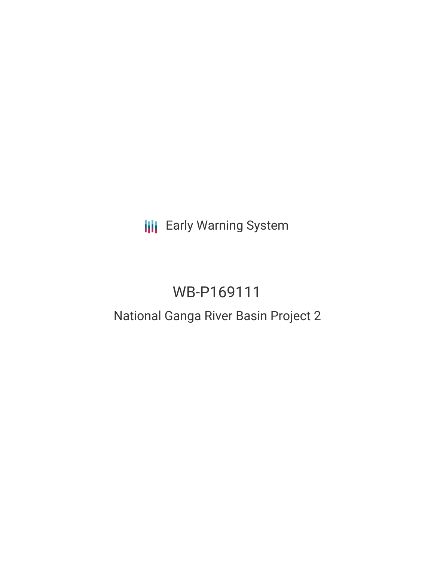**III** Early Warning System

# WB-P169111

# National Ganga River Basin Project 2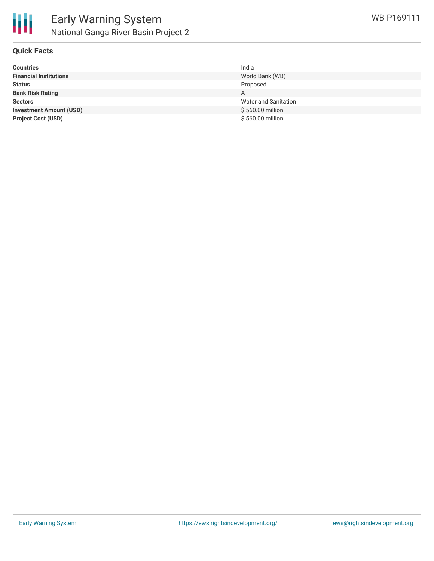

## **Quick Facts**

| <b>Countries</b>               | India                |
|--------------------------------|----------------------|
| <b>Financial Institutions</b>  | World Bank (WB)      |
| <b>Status</b>                  | Proposed             |
| <b>Bank Risk Rating</b>        | A                    |
| <b>Sectors</b>                 | Water and Sanitation |
| <b>Investment Amount (USD)</b> | \$560.00 million     |
| <b>Project Cost (USD)</b>      | \$560.00 million     |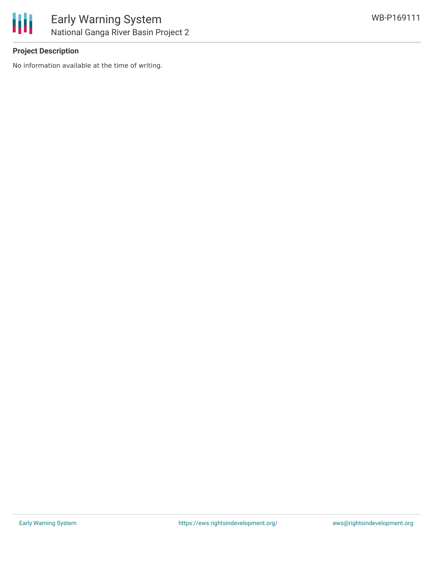

# **Project Description**

No information available at the time of writing.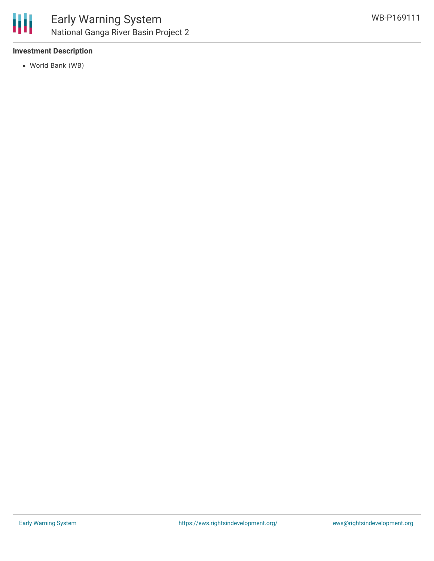

# **Investment Description**

World Bank (WB)